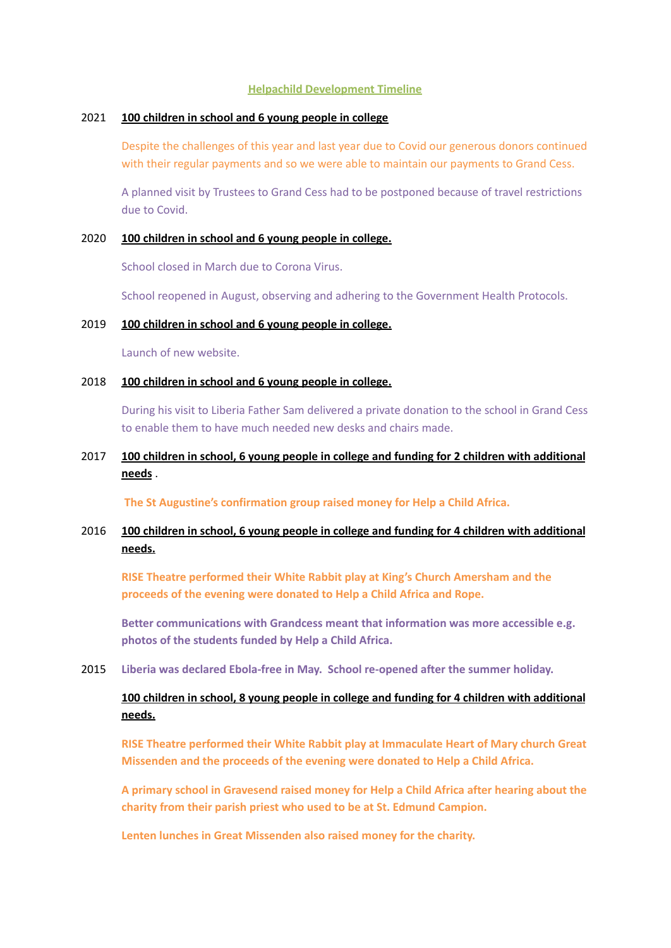#### **Helpachild Development Timeline**

### 2021 **100 children in school and 6 young people in college**

Despite the challenges of this year and last year due to Covid our generous donors continued with their regular payments and so we were able to maintain our payments to Grand Cess.

A planned visit by Trustees to Grand Cess had to be postponed because of travel restrictions due to Covid.

#### 2020 **100 children in school and 6 young people in college.**

School closed in March due to Corona Virus.

School reopened in August, observing and adhering to the Government Health Protocols.

#### 2019 **100 children in school and 6 young people in college.**

Launch of new website.

### 2018 **100 children in school and 6 young people in college.**

During his visit to Liberia Father Sam delivered a private donation to the school in Grand Cess to enable them to have much needed new desks and chairs made.

## 2017 **100 children in school, 6 young people in college and funding for 2 children with additional needs** .

**The St Augustine's confirmation group raised money for Help a Child Africa.**

## 2016 **100 children in school, 6 young people in college and funding for 4 children with additional needs.**

**RISE Theatre performed their White Rabbit play at King's Church Amersham and the proceeds of the evening were donated to Help a Child Africa and Rope.**

**Better communications with Grandcess meant that information was more accessible e.g. photos of the students funded by Help a Child Africa.**

2015 **Liberia was declared Ebola-free in May. School re-opened after the summer holiday.**

# **100 children in school, 8 young people in college and funding for 4 children with additional needs.**

**RISE Theatre performed their White Rabbit play at Immaculate Heart of Mary church Great Missenden and the proceeds of the evening were donated to Help a Child Africa.**

**A primary school in Gravesend raised money for Help a Child Africa after hearing about the charity from their parish priest who used to be at St. Edmund Campion.**

**Lenten lunches in Great Missenden also raised money for the charity.**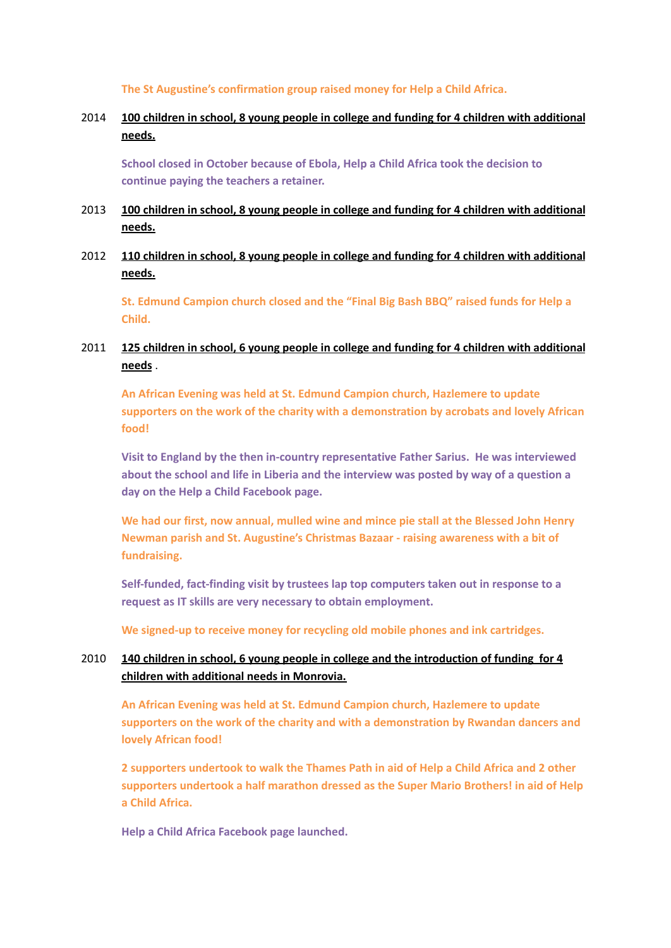**The St Augustine's confirmation group raised money for Help a Child Africa.**

# 2014 **100 children in school, 8 young people in college and funding for 4 children with additional needs.**

**School closed in October because of Ebola, Help a Child Africa took the decision to continue paying the teachers a retainer.**

- 2013 **100 children in school, 8 young people in college and funding for 4 children with additional needs.**
- 2012 **110 children in school, 8 young people in college and funding for 4 children with additional needs.**

**St. Edmund Campion church closed and the "Final Big Bash BBQ" raised funds for Help a Child.**

# 2011 **125 children in school, 6 young people in college and funding for 4 children with additional needs** .

**An African Evening was held at St. Edmund Campion church, Hazlemere to update supporters on the work of the charity with a demonstration by acrobats and lovely African food!**

**Visit to England by the then in-country representative Father Sarius. He was interviewed about the school and life in Liberia and the interview was posted by way of a question a day on the Help a Child Facebook page.**

**We had our first, now annual, mulled wine and mince pie stall at the Blessed John Henry Newman parish and St. Augustine's Christmas Bazaar - raising awareness with a bit of fundraising.**

**Self-funded, fact-finding visit by trustees lap top computers taken out in response to a request as IT skills are very necessary to obtain employment.**

**We signed-up to receive money for recycling old mobile phones and ink cartridges.**

# 2010 **140 children in school, 6 young people in college and the introduction of funding for 4 children with additional needs in Monrovia.**

**An African Evening was held at St. Edmund Campion church, Hazlemere to update supporters on the work of the charity and with a demonstration by Rwandan dancers and lovely African food!**

**2 supporters undertook to walk the Thames Path in aid of Help a Child Africa and 2 other supporters undertook a half marathon dressed as the Super Mario Brothers! in aid of Help a Child Africa.**

**Help a Child Africa Facebook page launched.**